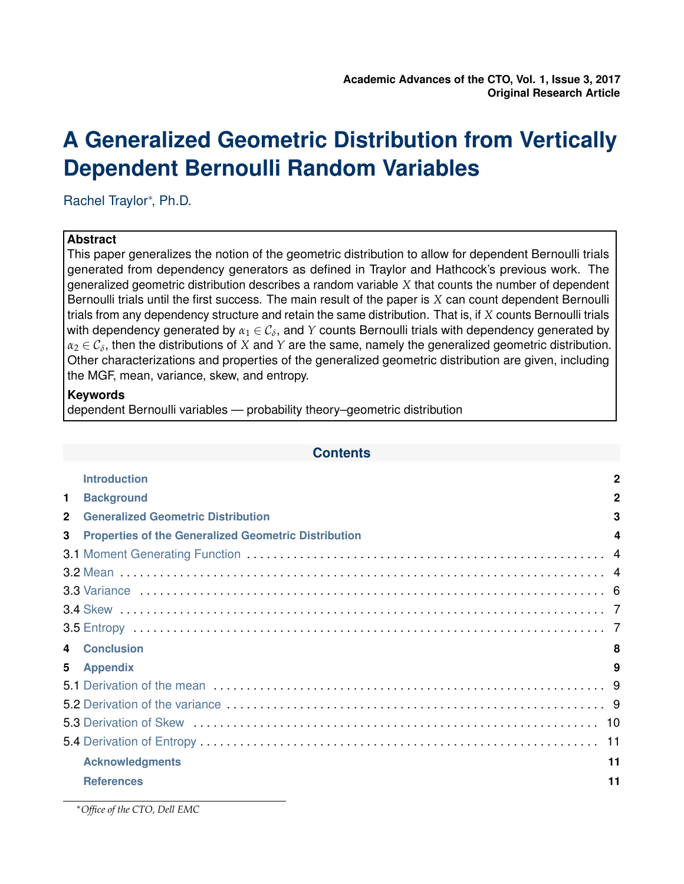# **A Generalized Geometric Distribution from Vertically Dependent Bernoulli Random Variables**

Rachel Traylor<sup>∗</sup> , Ph.D.

# **Abstract**

This paper generalizes the notion of the geometric distribution to allow for dependent Bernoulli trials generated from dependency generators as defined in Traylor and Hathcock's previous work. The generalized geometric distribution describes a random variable *X* that counts the number of dependent Bernoulli trials until the first success. The main result of the paper is *X* can count dependent Bernoulli trials from any dependency structure and retain the same distribution. That is, if *X* counts Bernoulli trials with dependency generated by  $\alpha_1 \in \mathcal{C}_\delta,$  and  $Y$  counts Bernoulli trials with dependency generated by  $\alpha_2\in\mathcal{C}_\delta,$  then the distributions of  $X$  and  $Y$  are the same, namely the generalized geometric distribution. Other characterizations and properties of the generalized geometric distribution are given, including the MGF, mean, variance, skew, and entropy.

# **Keywords**

dependent Bernoulli variables — probability theory–geometric distribution

|                | <b>Introduction</b>                                         | $\mathbf{2}$ |
|----------------|-------------------------------------------------------------|--------------|
| $\mathbf{1}$   | <b>Background</b>                                           | $\mathbf 2$  |
| $\overline{2}$ | <b>Generalized Geometric Distribution</b>                   | 3            |
| $\mathbf{3}$   | <b>Properties of the Generalized Geometric Distribution</b> | 4            |
|                |                                                             |              |
|                |                                                             |              |
|                |                                                             |              |
|                |                                                             |              |
|                |                                                             |              |
| 4              | <b>Conclusion</b>                                           | 8            |
| 5              | <b>Appendix</b>                                             | 9            |
|                |                                                             |              |
|                |                                                             |              |
|                |                                                             |              |
|                |                                                             | 11           |
|                | <b>Acknowledgments</b>                                      | 11           |
|                | <b>References</b>                                           | 11           |
|                |                                                             |              |

<sup>∗</sup>*Office of the CTO, Dell EMC*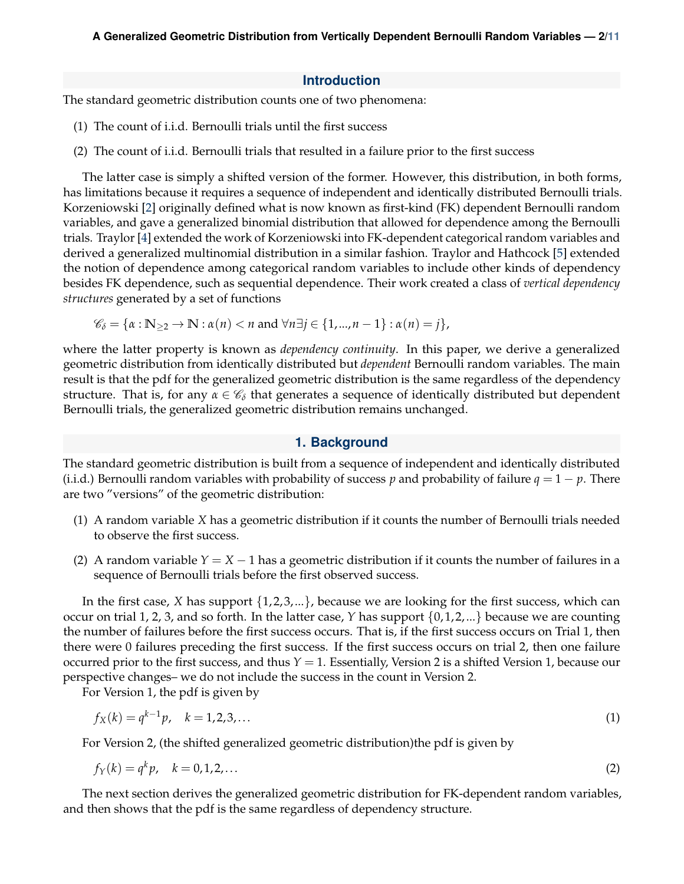## **Introduction**

The standard geometric distribution counts one of two phenomena:

- (1) The count of i.i.d. Bernoulli trials until the first success
- <span id="page-1-0"></span>(2) The count of i.i.d. Bernoulli trials that resulted in a failure prior to the first success

The latter case is simply a shifted version of the former. However, this distribution, in both forms, has limitations because it requires a sequence of independent and identically distributed Bernoulli trials. Korzeniowski [\[2\]](#page-10-4) originally defined what is now known as first-kind (FK) dependent Bernoulli random variables, and gave a generalized binomial distribution that allowed for dependence among the Bernoulli trials. Traylor [\[4\]](#page-10-5) extended the work of Korzeniowski into FK-dependent categorical random variables and derived a generalized multinomial distribution in a similar fashion. Traylor and Hathcock [\[5\]](#page-10-6) extended the notion of dependence among categorical random variables to include other kinds of dependency besides FK dependence, such as sequential dependence. Their work created a class of *vertical dependency structures* generated by a set of functions

$$
\mathscr{C}_{\delta} = \{ \alpha : \mathbb{N}_{\geq 2} \to \mathbb{N} : \alpha(n) < n \text{ and } \forall n \exists j \in \{1, \dots, n-1\} : \alpha(n) = j \},
$$

where the latter property is known as *dependency continuity*. In this paper, we derive a generalized geometric distribution from identically distributed but *dependent* Bernoulli random variables. The main result is that the pdf for the generalized geometric distribution is the same regardless of the dependency structure. That is, for any  $\alpha \in \mathscr{C}_{\delta}$  that generates a sequence of identically distributed but dependent Bernoulli trials, the generalized geometric distribution remains unchanged.

## **1. Background**

<span id="page-1-1"></span>The standard geometric distribution is built from a sequence of independent and identically distributed (i.i.d.) Bernoulli random variables with probability of success *p* and probability of failure  $q = 1 - p$ . There are two "versions" of the geometric distribution:

- (1) A random variable *X* has a geometric distribution if it counts the number of Bernoulli trials needed to observe the first success.
- (2) A random variable  $Y = X 1$  has a geometric distribution if it counts the number of failures in a sequence of Bernoulli trials before the first observed success.

In the first case, *X* has support  $\{1, 2, 3, ...\}$ , because we are looking for the first success, which can occur on trial 1, 2, 3, and so forth. In the latter case,  $Y$  has support  $\{0, 1, 2, ...\}$  because we are counting the number of failures before the first success occurs. That is, if the first success occurs on Trial 1, then there were 0 failures preceding the first success. If the first success occurs on trial 2, then one failure occurred prior to the first success, and thus  $Y = 1$ . Essentially, Version 2 is a shifted Version 1, because our perspective changes– we do not include the success in the count in Version 2.

For Version 1, the pdf is given by

$$
f_X(k) = q^{k-1}p, \quad k = 1, 2, 3, \dots
$$
 (1)

For Version 2, (the shifted generalized geometric distribution)the pdf is given by

$$
f_Y(k) = q^k p, \quad k = 0, 1, 2, \dots
$$
 (2)

The next section derives the generalized geometric distribution for FK-dependent random variables, and then shows that the pdf is the same regardless of dependency structure.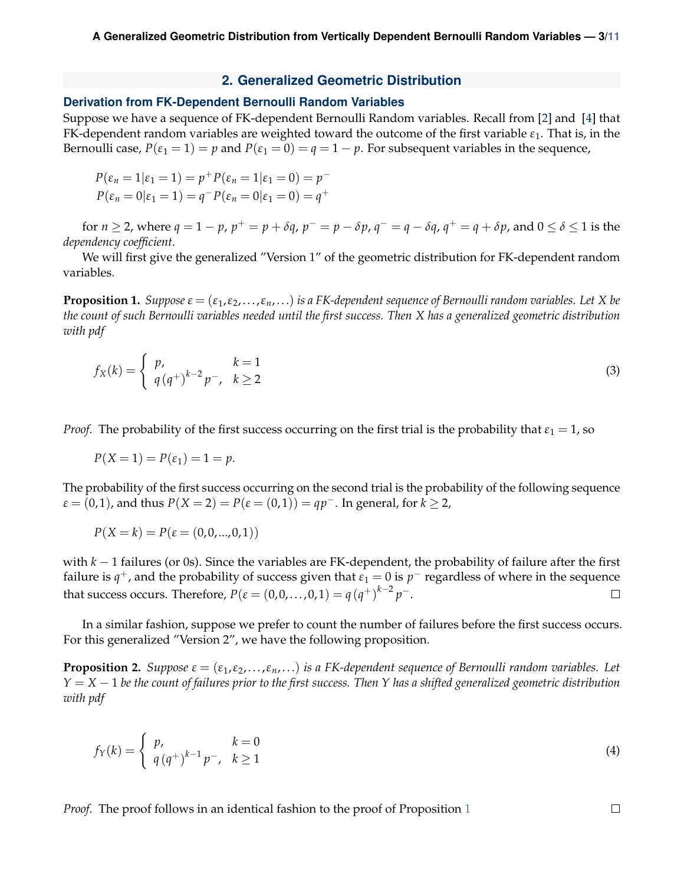#### **2. Generalized Geometric Distribution**

#### <span id="page-2-0"></span>**Derivation from FK-Dependent Bernoulli Random Variables**

Suppose we have a sequence of FK-dependent Bernoulli Random variables. Recall from [\[2\]](#page-10-4) and [\[4\]](#page-10-5) that FK-dependent random variables are weighted toward the outcome of the first variable *ε*1. That is, in the Bernoulli case,  $P(\epsilon_1 = 1) = p$  and  $P(\epsilon_1 = 0) = q = 1 - p$ . For subsequent variables in the sequence,

$$
P(\varepsilon_n = 1 | \varepsilon_1 = 1) = p^+ P(\varepsilon_n = 1 | \varepsilon_1 = 0) = p^-
$$
  

$$
P(\varepsilon_n = 0 | \varepsilon_1 = 1) = q^- P(\varepsilon_n = 0 | \varepsilon_1 = 0) = q^+
$$

for  $n\geq 2$ , where  $q=1-p$ ,  $p^+=p+\delta q$ ,  $p^-=p-\delta p$ ,  $q^-=q-\delta q$ ,  $q^+=q+\delta p$ , and  $0\leq \delta \leq 1$  is the *dependency coefficient*.

We will first give the generalized "Version 1" of the geometric distribution for FK-dependent random variables.

**Proposition 1.** *Suppose*  $\varepsilon = (\varepsilon_1, \varepsilon_2, ..., \varepsilon_n, ...)$  *is a FK-dependent sequence of Bernoulli random variables. Let X be the count of such Bernoulli variables needed until the first success. Then X has a generalized geometric distribution with pdf*

<span id="page-2-1"></span>
$$
f_X(k) = \begin{cases} p, & k = 1 \\ q(q^+)^{k-2}p^-, & k \ge 2 \end{cases}
$$
 (3)

*Proof.* The probability of the first success occurring on the first trial is the probability that  $\varepsilon_1 = 1$ , so

$$
P(X=1) = P(\varepsilon_1) = 1 = p.
$$

The probability of the first success occurring on the second trial is the probability of the following sequence *ε* = (0,1), and thus *P*(*X* = 2) = *P*(*ε* = (0,1)) = *qp*<sup>−</sup>. In general, for *k* ≥ 2,

$$
P(X = k) = P(\varepsilon = (0, 0, ..., 0, 1))
$$

with *k* − 1 failures (or 0s). Since the variables are FK-dependent, the probability of failure after the first failure is  $q^+$ , and the probability of success given that  $\varepsilon_1 = 0$  is  $p^-$  regardless of where in the sequence that success occurs. Therefore,  $P(\varepsilon = (0, 0, \ldots, 0, 1) = q (q^+)^{k-2} p^-$ .  $\Box$ 

In a similar fashion, suppose we prefer to count the number of failures before the first success occurs. For this generalized "Version 2", we have the following proposition.

**Proposition 2.** *Suppose*  $\varepsilon = (\varepsilon_1, \varepsilon_2, \dots, \varepsilon_n, \dots)$  *is a FK-dependent sequence of Bernoulli random variables. Let Y* = *X* − 1 *be the count of failures prior to the first success. Then Y has a shifted generalized geometric distribution with pdf*

<span id="page-2-2"></span>
$$
f_Y(k) = \begin{cases} p, & k = 0 \\ q(q^+)^{k-1} p^-, & k \ge 1 \end{cases}
$$
 (4)

*Proof.* The proof follows in an identical fashion to the proof of Proposition [1](#page-2-1)

 $\Box$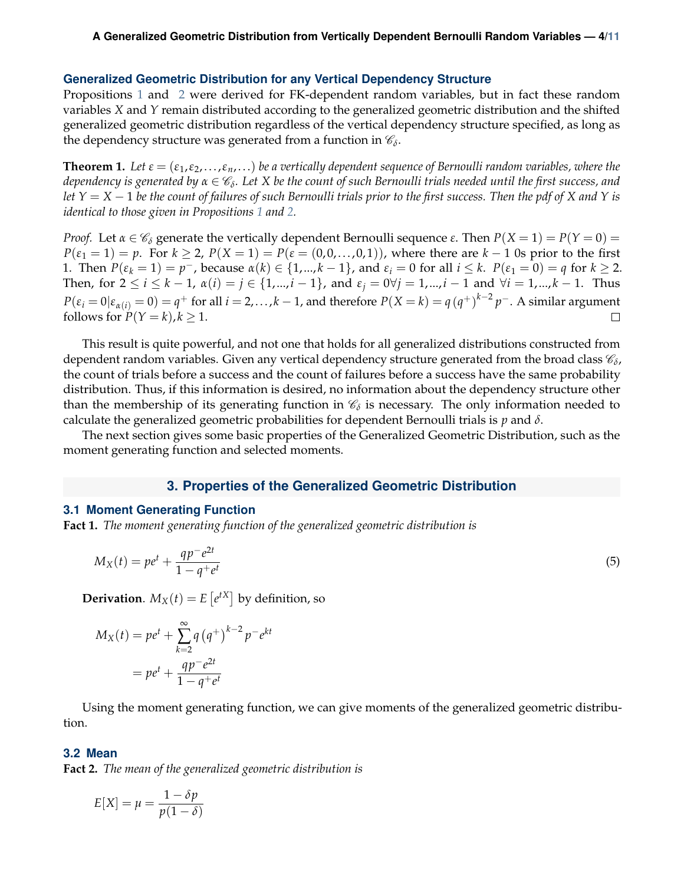#### **Generalized Geometric Distribution for any Vertical Dependency Structure**

Propositions [1](#page-2-1) and [2](#page-2-2) were derived for FK-dependent random variables, but in fact these random variables *X* and *Y* remain distributed according to the generalized geometric distribution and the shifted generalized geometric distribution regardless of the vertical dependency structure specified, as long as the dependency structure was generated from a function in  $\mathscr{C}_{\delta}.$ 

**Theorem 1.** Let  $\varepsilon = (\varepsilon_1, \varepsilon_2, \dots, \varepsilon_n, \dots)$  be a vertically dependent sequence of Bernoulli random variables, where the *dependency is generated by α* ∈ C*<sup>δ</sup> . Let X be the count of such Bernoulli trials needed until the first success, and let Y* = *X* − 1 *be the count of failures of such Bernoulli trials prior to the first success. Then the pdf of X and Y is identical to those given in Propositions [1](#page-2-1) and [2.](#page-2-2)*

*Proof.* Let  $\alpha \in C_δ$  generate the vertically dependent Bernoulli sequence  $\epsilon$ . Then  $P(X = 1) = P(Y = 0) =$ *P*( $\varepsilon_1$  = 1) = *p*. For *k* ≥ 2, *P*(*X* = 1) = *P*( $\varepsilon$  = (0,0,..., 0,1)), where there are *k* − 1 0s prior to the first 1. Then  $P(\varepsilon_k = 1) = p^-$ , because  $\alpha(k) \in \{1, ..., k-1\}$ , and  $\varepsilon_i = 0$  for all  $i \leq k$ .  $P(\varepsilon_1 = 0) = q$  for  $k \geq 2$ . Then, for  $2 \le i \le k - 1$ ,  $\alpha(i) = j \in \{1, ..., i - 1\}$ , and  $\varepsilon_j = 0 \forall j = 1, ..., i - 1$  and  $\forall i = 1, ..., k - 1$ . Thus  $P(\varepsilon_i=0|\varepsilon_{\alpha(i)}=0)=q^+$  for all  $i=2,\ldots,k-1$ , and therefore  $P(X=k)=q\left(q^+\right)^{k-2}p^-$ . A similar argument follows for  $P(Y = k)$ ,  $k \ge 1$ .  $\Box$ 

This result is quite powerful, and not one that holds for all generalized distributions constructed from dependent random variables. Given any vertical dependency structure generated from the broad class  $\mathscr{C}_\delta$ , the count of trials before a success and the count of failures before a success have the same probability distribution. Thus, if this information is desired, no information about the dependency structure other than the membership of its generating function in  $\mathscr{C}_\delta$  is necessary. The only information needed to calculate the generalized geometric probabilities for dependent Bernoulli trials is *p* and *δ*.

The next section gives some basic properties of the Generalized Geometric Distribution, such as the moment generating function and selected moments.

## <span id="page-3-3"></span>**3. Properties of the Generalized Geometric Distribution**

#### <span id="page-3-1"></span><span id="page-3-0"></span>**3.1 Moment Generating Function**

**Fact 1.** *The moment generating function of the generalized geometric distribution is*

$$
M_X(t) = pe^t + \frac{qp^-e^{2t}}{1 - q^+e^t}
$$
\n(5)

**Derivation**.  $M_X(t) = E[e^{tX}]$  by definition, so

$$
M_X(t) = pe^t + \sum_{k=2}^{\infty} q (q^+)^{k-2} p^- e^{kt}
$$

$$
= pe^t + \frac{qp^- e^{2t}}{1 - q^+ e^t}
$$

Using the moment generating function, we can give moments of the generalized geometric distribution.

#### <span id="page-3-2"></span>**3.2 Mean**

**Fact 2.** *The mean of the generalized geometric distribution is*

$$
E[X] = \mu = \frac{1 - \delta p}{p(1 - \delta)}
$$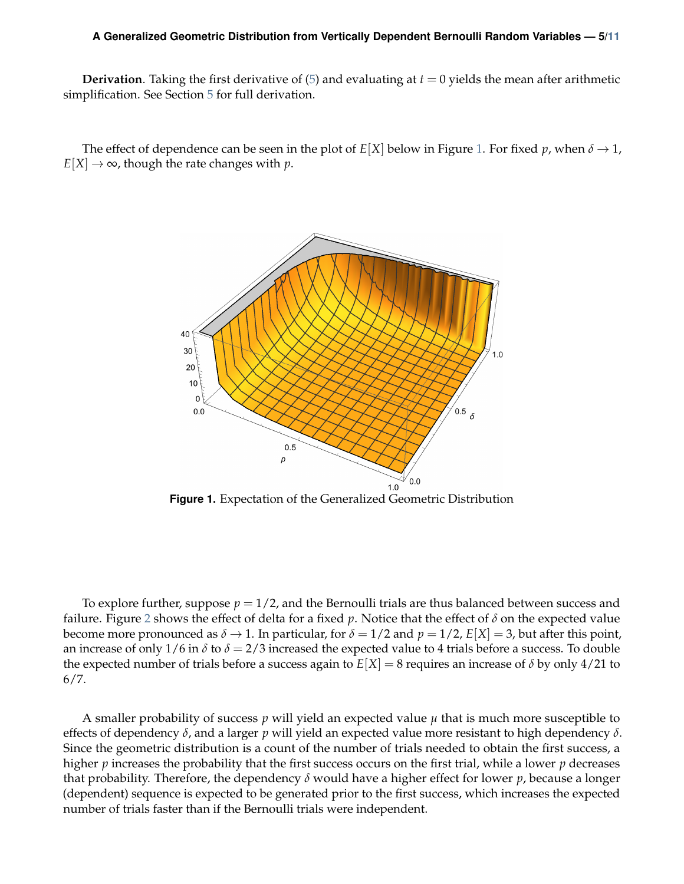#### **A Generalized Geometric Distribution from Vertically Dependent Bernoulli Random Variables — 5[/11](#page-10-3)**

**Derivation**. Taking the first derivative of  $(5)$  and evaluating at  $t = 0$  yields the mean after arithmetic simplification. See Section [5](#page-8-0) for full derivation.

<span id="page-4-0"></span>The effect of dependence can be seen in the plot of  $E[X]$  below in Figure [1.](#page-4-0) For fixed *p*, when  $\delta \to 1$ ,  $E[X] \rightarrow \infty$ , though the rate changes with *p*.



**Figure 1.** Expectation of the Generalized Geometric Distribution

To explore further, suppose *p* = 1/2, and the Bernoulli trials are thus balanced between success and failure. Figure [2](#page-5-1) shows the effect of delta for a fixed *p*. Notice that the effect of *δ* on the expected value become more pronounced as  $\delta \to 1$ . In particular, for  $\delta = 1/2$  and  $p = 1/2$ ,  $E[X] = 3$ , but after this point, an increase of only  $1/6$  in  $\delta$  to  $\delta = 2/3$  increased the expected value to 4 trials before a success. To double the expected number of trials before a success again to  $E[X] = 8$  requires an increase of  $\delta$  by only 4/21 to 6/7.

A smaller probability of success *p* will yield an expected value *µ* that is much more susceptible to effects of dependency *δ*, and a larger *p* will yield an expected value more resistant to high dependency *δ*. Since the geometric distribution is a count of the number of trials needed to obtain the first success, a higher *p* increases the probability that the first success occurs on the first trial, while a lower *p* decreases that probability. Therefore, the dependency *δ* would have a higher effect for lower *p*, because a longer (dependent) sequence is expected to be generated prior to the first success, which increases the expected number of trials faster than if the Bernoulli trials were independent.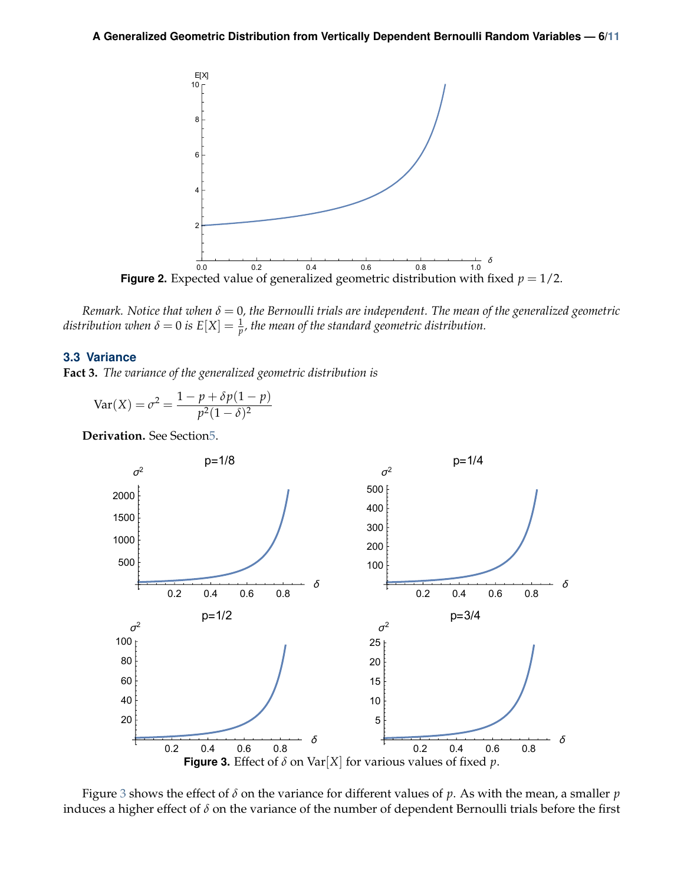<span id="page-5-1"></span>

*Remark. Notice that when δ* = 0*, the Bernoulli trials are independent. The mean of the generalized geometric*  $d$ istribution when  $\delta = 0$  is  $E[X] = \frac{1}{p'}$ , the mean of the standard geometric distribution.

#### <span id="page-5-0"></span>**3.3 Variance**

**Fact 3.** *The variance of the generalized geometric distribution is*

$$
Var(X) = \sigma^2 = \frac{1 - p + \delta p (1 - p)}{p^2 (1 - \delta)^2}
$$

<span id="page-5-2"></span>**Derivation.** See Sectio[n5.](#page-8-0)



Figure [3](#page-5-2) shows the effect of *δ* on the variance for different values of *p*. As with the mean, a smaller *p* induces a higher effect of *δ* on the variance of the number of dependent Bernoulli trials before the first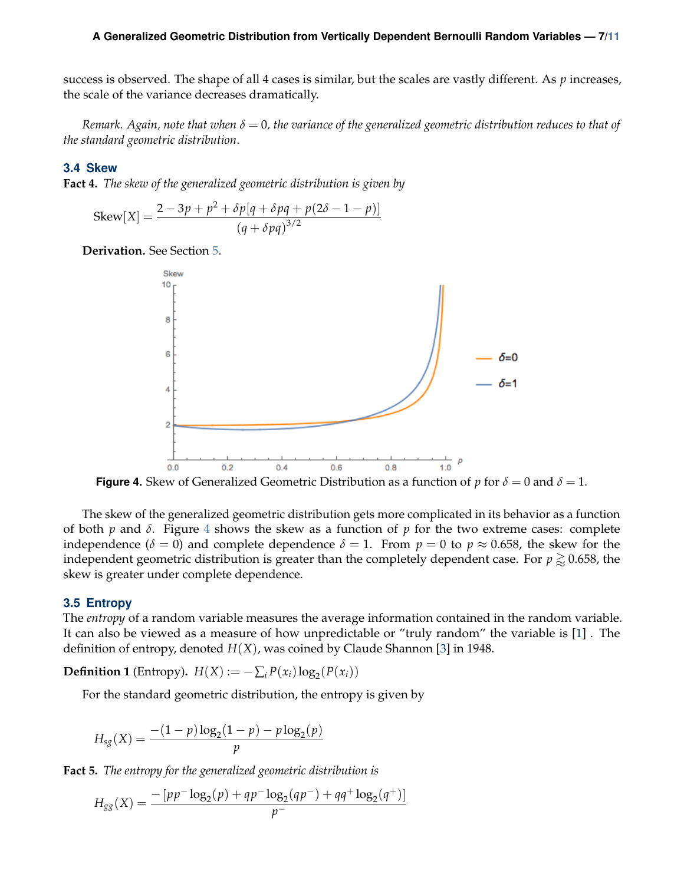#### **A Generalized Geometric Distribution from Vertically Dependent Bernoulli Random Variables — 7[/11](#page-10-3)**

success is observed. The shape of all 4 cases is similar, but the scales are vastly different. As *p* increases, the scale of the variance decreases dramatically.

*Remark. Again, note that when δ* = 0*, the variance of the generalized geometric distribution reduces to that of the standard geometric distribution*.

#### <span id="page-6-0"></span>**3.4 Skew**

**Fact 4.** *The skew of the generalized geometric distribution is given by*

Skew[X] = 
$$
\frac{2 - 3p + p^2 + \delta p[q + \delta pq + p(2\delta - 1 - p)]}{(q + \delta pq)^{3/2}}
$$

<span id="page-6-2"></span>**Derivation.** See Section [5.](#page-8-0)



**Figure 4.** Skew of Generalized Geometric Distribution as a function of *p* for  $\delta = 0$  and  $\delta = 1$ .

The skew of the generalized geometric distribution gets more complicated in its behavior as a function of both  $p$  and  $\delta$ . Figure [4](#page-6-2) shows the skew as a function of  $p$  for the two extreme cases: complete independence ( $\delta = 0$ ) and complete dependence  $\delta = 1$ . From  $p = 0$  to  $p \approx 0.658$ , the skew for the independent geometric distribution is greater than the completely dependent case. For  $p \gtrsim 0.658$ , the skew is greater under complete dependence.

#### <span id="page-6-1"></span>**3.5 Entropy**

The *entropy* of a random variable measures the average information contained in the random variable. It can also be viewed as a measure of how unpredictable or "truly random" the variable is [\[1\]](#page-10-7) . The definition of entropy, denoted *H*(*X*), was coined by Claude Shannon [\[3\]](#page-10-8) in 1948.

**Definition 1** (Entropy).  $H(X) := -\sum_i P(x_i) \log_2(P(x_i))$ 

For the standard geometric distribution, the entropy is given by

$$
H_{sg}(X) = \frac{-(1-p)\log_2(1-p) - p\log_2(p)}{p}
$$

**Fact 5.** *The entropy for the generalized geometric distribution is*

$$
H_{gg}(X) = \frac{-\left[pp^{-}\log_2(p) + qp^{-}\log_2(qp^{-}) + qq^{+}\log_2(q^{+})\right]}{p^{-}}
$$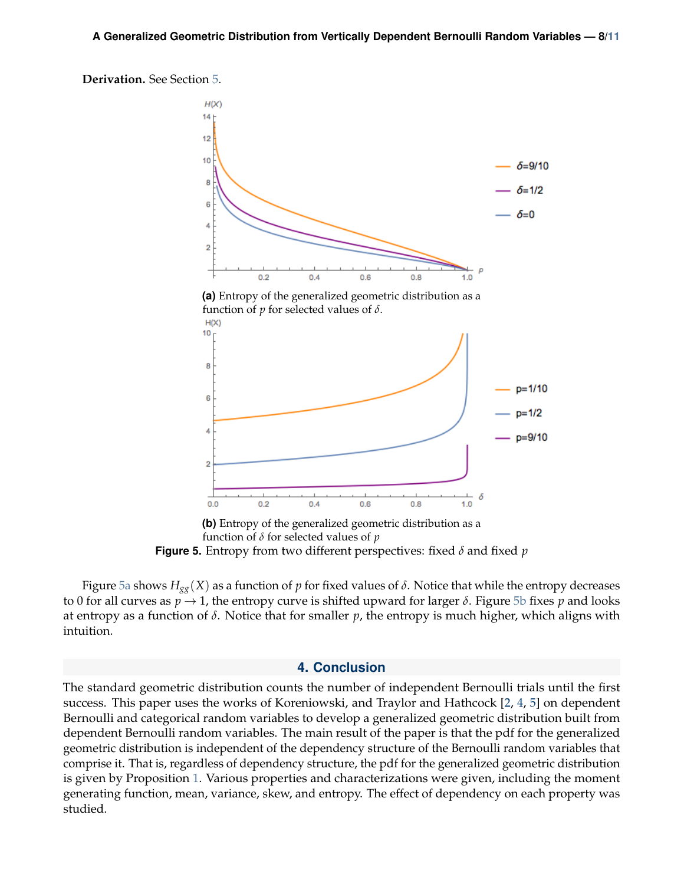<span id="page-7-1"></span>



function of *δ* for selected values of *p* **Figure 5.** Entropy from two different perspectives: fixed *δ* and fixed *p*

Figure [5a](#page-7-1) shows  $H_{gg}(X)$  as a function of *p* for fixed values of  $\delta$ . Notice that while the entropy decreases to 0 for all curves as  $p \rightarrow 1$ , the entropy curve is shifted upward for larger  $\delta$ . Figure [5b](#page-7-1) fixes  $p$  and looks at entropy as a function of *δ*. Notice that for smaller *p*, the entropy is much higher, which aligns with intuition.

#### **4. Conclusion**

<span id="page-7-0"></span>The standard geometric distribution counts the number of independent Bernoulli trials until the first success. This paper uses the works of Koreniowski, and Traylor and Hathcock [\[2,](#page-10-4) [4,](#page-10-5) [5\]](#page-10-6) on dependent Bernoulli and categorical random variables to develop a generalized geometric distribution built from dependent Bernoulli random variables. The main result of the paper is that the pdf for the generalized geometric distribution is independent of the dependency structure of the Bernoulli random variables that comprise it. That is, regardless of dependency structure, the pdf for the generalized geometric distribution is given by Proposition [1.](#page-2-1) Various properties and characterizations were given, including the moment generating function, mean, variance, skew, and entropy. The effect of dependency on each property was studied.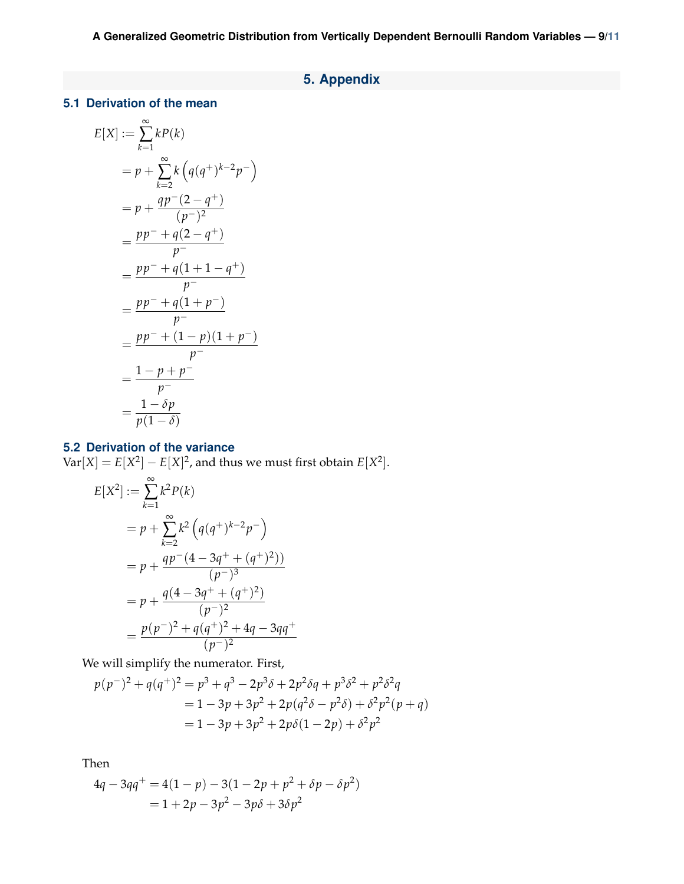# **5. Appendix**

# <span id="page-8-1"></span><span id="page-8-0"></span>**5.1 Derivation of the mean**

$$
E[X] := \sum_{k=1}^{\infty} kP(k)
$$
  
=  $p + \sum_{k=2}^{\infty} k (q(q^+)^{k-2}p^-)$   
=  $p + \frac{qp^-(2-q^+)}{(p^-)^2}$   
=  $\frac{pp^- + q(2-q^+)}{p^-}$   
=  $\frac{pp^- + q(1+1-q^+)}{p^-}$   
=  $\frac{pp^- + q(1+p^-)}{p^-}$   
=  $\frac{pp^- + (1-p)(1+p^-)}{p^-}$   
=  $\frac{1-p+p^-}{p^-}$   
=  $\frac{1-\delta p}{p(1-\delta)}$ 

# <span id="page-8-2"></span>**5.2 Derivation of the variance**

 $Var[X] = E[X^2] - E[X]^2$ , and thus we must first obtain  $E[X^2]$ .

$$
E[X^2] := \sum_{k=1}^{\infty} k^2 P(k)
$$
  
=  $p + \sum_{k=2}^{\infty} k^2 \left( q(q^+)^{k-2} p^- \right)$   
=  $p + \frac{qp^-(4 - 3q^+ + (q^+)^2)}{(p^-)^3}$   
=  $p + \frac{q(4 - 3q^+ + (q^+)^2)}{(p^-)^2}$   
=  $\frac{p(p^-)^2 + q(q^+)^2 + 4q - 3qq^+}{(p^-)^2}$ 

We will simplify the numerator. First,

$$
p(p^{-})^{2} + q(q^{+})^{2} = p^{3} + q^{3} - 2p^{3}\delta + 2p^{2}\delta q + p^{3}\delta^{2} + p^{2}\delta^{2}q
$$
  
= 1 - 3p + 3p^{2} + 2p(q^{2}\delta - p^{2}\delta) + \delta^{2}p^{2}(p+q)  
= 1 - 3p + 3p^{2} + 2p\delta(1 - 2p) + \delta^{2}p^{2}

Then

$$
4q - 3qq^{+} = 4(1 - p) - 3(1 - 2p + p^{2} + \delta p - \delta p^{2})
$$
  
= 1 + 2p - 3p^{2} - 3p\delta + 3\delta p^{2}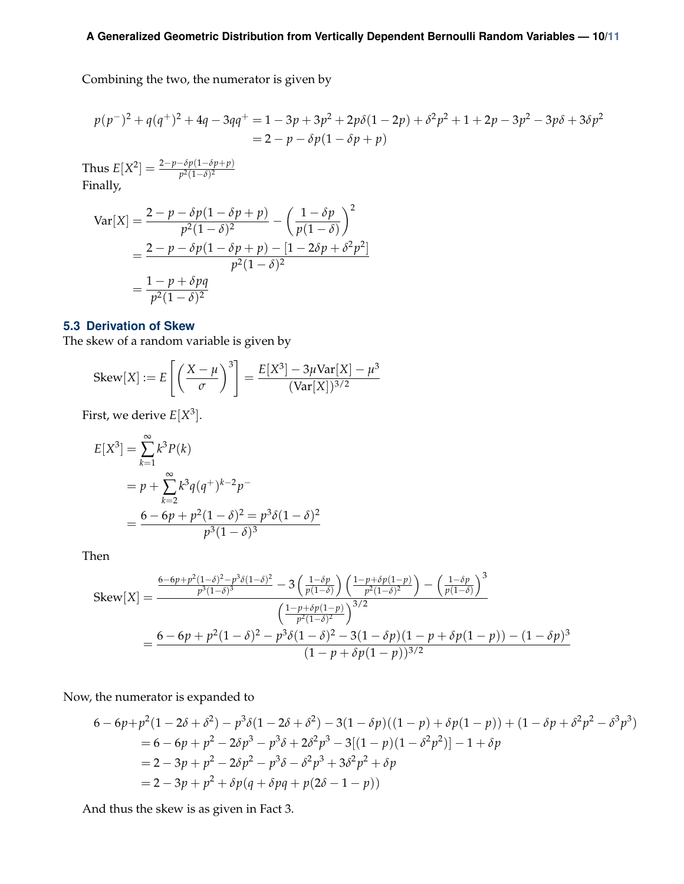Combining the two, the numerator is given by

$$
p(p^{-})^{2} + q(q^{+})^{2} + 4q - 3qq^{+} = 1 - 3p + 3p^{2} + 2p\delta(1 - 2p) + \delta^{2}p^{2} + 1 + 2p - 3p^{2} - 3p\delta + 3\delta p^{2}
$$
  
= 2 - p - \delta p(1 - \delta p + p)

Thus  $E[X^2] = \frac{2-p-\delta p(1-\delta p+p)}{p^2(1-\delta)^2}$ Finally,

$$
\begin{aligned} \text{Var}[X] &= \frac{2 - p - \delta p (1 - \delta p + p)}{p^2 (1 - \delta)^2} - \left(\frac{1 - \delta p}{p (1 - \delta)}\right)^2 \\ &= \frac{2 - p - \delta p (1 - \delta p + p) - [1 - 2\delta p + \delta^2 p^2]}{p^2 (1 - \delta)^2} \\ &= \frac{1 - p + \delta p q}{p^2 (1 - \delta)^2} \end{aligned}
$$

## <span id="page-9-0"></span>**5.3 Derivation of Skew**

The skew of a random variable is given by

$$
\text{Skew}[X] := E\left[\left(\frac{X-\mu}{\sigma}\right)^3\right] = \frac{E[X^3] - 3\mu \text{Var}[X] - \mu^3}{(\text{Var}[X])^{3/2}}
$$

First, we derive *E*[*X* 3 ].

$$
E[X^3] = \sum_{k=1}^{\infty} k^3 P(k)
$$
  
=  $p + \sum_{k=2}^{\infty} k^3 q(q^+)^{k-2} p^-$   
=  $\frac{6 - 6p + p^2 (1 - \delta)^2}{p^3 (1 - \delta)^3}$ 

Then

$$
\text{Skew}[X] = \frac{\frac{6 - 6p + p^2(1 - \delta)^2 - p^3 \delta (1 - \delta)^2}{p^3(1 - \delta)^3} - 3\left(\frac{1 - \delta p}{p(1 - \delta)}\right)\left(\frac{1 - p + \delta p(1 - p)}{p^2(1 - \delta)^2}\right) - \left(\frac{1 - \delta p}{p(1 - \delta)}\right)^3}{\left(\frac{1 - p + \delta p(1 - p)}{p^2(1 - \delta)^2}\right)^{3/2}}
$$

$$
= \frac{6 - 6p + p^2(1 - \delta)^2 - p^3 \delta (1 - \delta)^2 - 3(1 - \delta p)(1 - p + \delta p(1 - p)) - (1 - \delta p)^3}{(1 - p + \delta p(1 - p))^{3/2}}
$$

Now, the numerator is expanded to

$$
6 - 6p + p^{2}(1 - 2\delta + \delta^{2}) - p^{3}\delta(1 - 2\delta + \delta^{2}) - 3(1 - \delta p)((1 - p) + \delta p(1 - p)) + (1 - \delta p + \delta^{2} p^{2} - \delta^{3} p^{3})
$$
  
= 6 - 6p + p^{2} - 2\delta p^{3} - p^{3}\delta + 2\delta^{2} p^{3} - 3[(1 - p)(1 - \delta^{2} p^{2})] - 1 + \delta p  
= 2 - 3p + p^{2} - 2\delta p^{2} - p^{3}\delta - \delta^{2} p^{3} + 3\delta^{2} p^{2} + \delta p  
= 2 - 3p + p^{2} + \delta p(q + \delta pq + p(2\delta - 1 - p))

And thus the skew is as given in Fact 3.